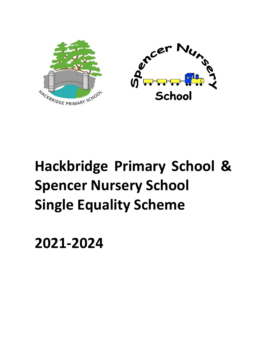



# **Hackbridge Primary School & Spencer Nursery School Single Equality Scheme**

**2021-2024**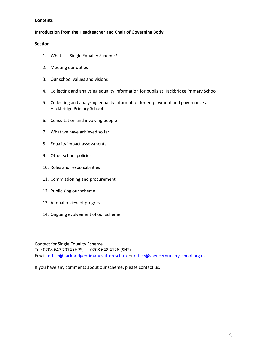## **Contents**

## **Introduction from the Headteacher and Chair of Governing Body**

## **Section**

- 1. What is a Single Equality Scheme?
- 2. Meeting our duties
- 3. Our school values and visions
- 4. Collecting and analysing equality information for pupils at Hackbridge Primary School
- 5. Collecting and analysing equality information for employment and governance at Hackbridge Primary School
- 6. Consultation and involving people
- 7. What we have achieved so far
- 8. Equality impact assessments
- 9. Other school policies
- 10. Roles and responsibilities
- 11. Commissioning and procurement
- 12. Publicising our scheme
- 13. Annual review of progress
- 14. Ongoing evolvement of our scheme

Contact for Single Equality Scheme Tel: 0208 647 7974 (HPS) 0208 648 4126 (SNS) Email: [office@hackbridgeprimary.sutton.sch.uk](mailto:office@hackbridgeprimary.sutton.sch.uk) or [office@spencernurseryschool.org.uk](mailto:office@spencernurseryschool.org.uk)

If you have any comments about our scheme, please contact us.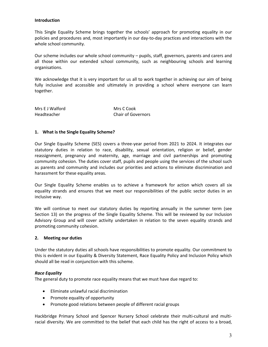#### **Introduction**

This Single Equality Scheme brings together the schools' approach for promoting equality in our policies and procedures and, most importantly in our day-to-day practices and interactions with the whole school community.

Our scheme includes our whole school community – pupils, staff, governors, parents and carers and all those within our extended school community, such as neighbouring schools and learning organisations.

We acknowledge that it is very important for us all to work together in achieving our aim of being fully inclusive and accessible and ultimately in providing a school where everyone can learn together.

| Mrs E J Walford | Mrs C Cook         |
|-----------------|--------------------|
| Headteacher     | Chair of Governors |

#### **1. What is the Single Equality Scheme?**

Our Single Equality Scheme (SES) covers a three-year period from 2021 to 2024. It integrates our statutory duties in relation to race, disability, sexual orientation, religion or belief, gender reassignment, pregnancy and maternity, age, marriage and civil partnerships and promoting community cohesion. The duties cover staff, pupils and people using the services of the school such as parents and community and includes our priorities and actions to eliminate discrimination and harassment for these equality areas.

Our Single Equality Scheme enables us to achieve a framework for action which covers all six equality strands and ensures that we meet our responsibilities of the public sector duties in an inclusive way.

We will continue to meet our statutory duties by reporting annually in the summer term (see Section 13) on the progress of the Single Equality Scheme. This will be reviewed by our Inclusion Advisory Group and will cover activity undertaken in relation to the seven equality strands and promoting community cohesion.

## **2. Meeting our duties**

Under the statutory duties all schools have responsibilities to promote equality. Our commitment to this is evident in our Equality & Diversity Statement, Race Equality Policy and Inclusion Policy which should all be read in conjunction with this scheme.

## *Race Equality*

The general duty to promote race equality means that we must have due regard to:

- Eliminate unlawful racial discrimination
- Promote equality of opportunity
- Promote good relations between people of different racial groups

Hackbridge Primary School and Spencer Nursery School celebrate their multi-cultural and multiracial diversity. We are committed to the belief that each child has the right of access to a broad,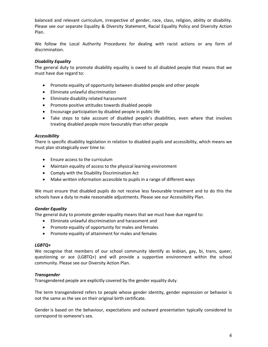balanced and relevant curriculum, irrespective of gender, race, class, religion, ability or disability. Please see our separate Equality & Diversity Statement, Racial Equality Policy and Diversity Action Plan.

We follow the Local Authority Procedures for dealing with racist actions or any form of discrimination.

## *Disability Equality*

The general duty to promote disability equality is owed to all disabled people that means that we must have due regard to:

- Promote equality of opportunity between disabled people and other people
- Eliminate unlawful discrimination
- Eliminate disability related harassment
- Promote positive attitudes towards disabled people
- Encourage participation by disabled people in public life
- Take steps to take account of disabled people's disabilities, even where that involves treating disabled people more favourably than other people

## *Accessibility*

There is specific disability legislation in relation to disabled pupils and accessibility, which means we must plan strategically over time to:

- Ensure access to the curriculum
- Maintain equality of access to the physical learning environment
- Comply with the Disability Discrimination Act
- Make written information accessible to pupils in a range of different ways

We must ensure that disabled pupils do not receive less favourable treatment and to do this the schools have a duty to make reasonable adjustments. Please see our Accessibility Plan.

## *Gender Equality*

The general duty to promote gender equality means that we must have due regard to:

- Eliminate unlawful discrimination and harassment and
- Promote equality of opportunity for males and females
- Promote equality of attainment for males and females

## *LGBTQ+*

We recognise that members of our school community identify as lesbian, gay, bi, trans, queer, questioning or ace (LGBTQ+) and will provide a supportive environment within the school community. Please see our Diversity Action Plan.

## *Transgender*

Transgendered people are explicitly covered by the gender equality duty.

The term transgendered refers to people whose gender identity, gender expression or behavior is not the same as the sex on their original birth certificate.

Gender is based on the behaviour, expectations and outward presentation typically considered to correspond to someone's sex.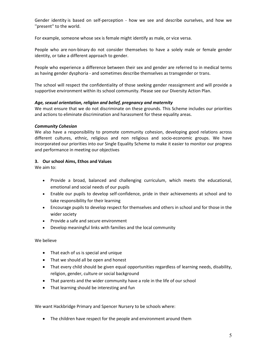Gender identity is based on self-perception - how we see and describe ourselves, and how we ''present'' to the world.

For example, someone whose sex is female might identify as male, or vice versa.

People who are non-binary do not consider themselves to have a solely male or female gender identity, or take a different approach to gender.

People who experience a difference between their sex and gender are referred to in medical terms as having gender [dysphoria](https://www.nhs.uk/conditions/gender-dysphoria/) - and sometimes describe themselves as transgender or trans.

The school will respect the confidentiality of those seeking gender reassignment and will provide a supportive environment within its school community. Please see our Diversity Action Plan.

## *Age, sexual orientation, religion and belief, pregnancy and maternity*

We must ensure that we do not discriminate on these grounds. This Scheme includes our priorities and actions to eliminate discrimination and harassment for these equality areas.

## *Community Cohesion*

We also have a responsibility to promote community cohesion, developing good relations across different cultures, ethnic, religious and non religious and socio-economic groups. We have incorporated our priorities into our Single Equality Scheme to make it easier to monitor our progress and performance in meeting our objectives

## **3. Our school Aims, Ethos and Values**

We aim to:

- Provide a broad, balanced and challenging curriculum, which meets the educational, emotional and social needs of our pupils
- Enable our pupils to develop self-confidence, pride in their achievements at school and to take responsibility for their learning
- Encourage pupils to develop respect for themselves and others in school and for those in the wider society
- Provide a safe and secure environment
- Develop meaningful links with families and the local community

## We believe

- That each of us is special and unique
- That we should all be open and honest
- That every child should be given equal opportunities regardless of learning needs, disability, religion, gender, culture or social background
- That parents and the wider community have a role in the life of our school
- That learning should be interesting and fun

We want Hackbridge Primary and Spencer Nursery to be schools where:

• The children have respect for the people and environment around them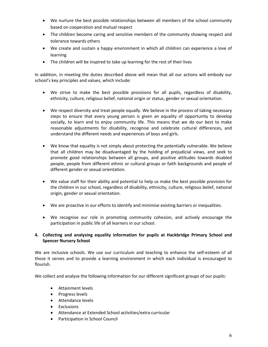- We nurture the best possible relationships between all members of the school community based on cooperation and mutual respect
- The children become caring and sensitive members of the community showing respect and tolerance towards others
- We create and sustain a happy environment in which all children can experience a love of learning
- The children will be inspired to take up learning for the rest of their lives

In addition, in meeting the duties described above will mean that all our actions will embody our school's key principles and values, which include:

- We strive to make the best possible provisions for all pupils, regardless of disability, ethnicity, culture, religious belief, national origin or status, gender or sexual orientation.
- We respect diversity and treat people equally. We believe in the process of taking necessary steps to ensure that every young person is given an equality of opportunity to develop socially, to learn and to enjoy community life. This means that we do our best to make reasonable adjustments for disability, recognise and celebrate cultural differences, and understand the different needs and experiences of boys and girls.
- We know that equality is not simply about protecting the potentially vulnerable. We believe that all children may be disadvantaged by the holding of prejudicial views, and seek to promote good relationships between all groups, and positive attitudes towards disabled people, people from different ethnic or cultural groups or faith backgrounds and people of different gender or sexual orientation.
- We value staff for their ability and potential to help us make the best possible provision for the children in our school, regardless of disability, ethnicity, culture, religious belief, national origin, gender or sexual orientation.
- We are proactive in our efforts to identify and minimise existing barriers or inequalities.
- We recognise our role in promoting community cohesion, and actively encourage the participation in public life of all learners in our school.

# **4. Collecting and analysing equality information for pupils at Hackbridge Primary School and Spencer Nursery School**

We are inclusive schools. We use our curriculum and teaching to enhance the self-esteem of all those it serves and to provide a learning environment in which each individual is encouraged to flourish.

We collect and analyse the following information for our different significant groups of our pupils:

- Attainment levels
- Progress levels
- Attendance levels
- Exclusions
- Attendance at Extended School activities/extra curricular
- Participation in School Council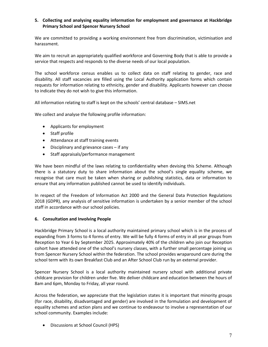# **5. Collecting and analysing equality information for employment and governance at Hackbridge Primary School and Spencer Nursery School**

We are committed to providing a working environment free from discrimination, victimisation and harassment.

We aim to recruit an appropriately qualified workforce and Governing Body that is able to provide a service that respects and responds to the diverse needs of our local population.

The school workforce census enables us to collect data on staff relating to gender, race and disability. All staff vacancies are filled using the Local Authority application forms which contain requests for information relating to ethnicity, gender and disability. Applicants however can choose to indicate they do not wish to give this information.

All information relating to staff is kept on the schools' central database – SIMS.net

We collect and analyse the following profile information:

- Applicants for employment
- Staff profile
- Attendance at staff training events
- Disciplinary and grievance cases if any
- Staff appraisals/performance management

We have been mindful of the laws relating to confidentiality when devising this Scheme. Although there is a statutory duty to share information about the school's single equality scheme, we recognise that care must be taken when sharing or publishing statistics, data or information to ensure that any information published cannot be used to identify individuals.

In respect of the Freedom of Information Act 2000 and the General Data Protection Regulations 2018 (GDPR), any analysis of sensitive information is undertaken by a senior member of the school staff in accordance with our school policies.

#### **6. Consultation and Involving People**

Hackbridge Primary School is a local authority maintained primary school which is in the process of expanding from 3 forms to 4 forms of entry. We will be fully 4 forms of entry in all year groups from Reception to Year 6 by September 2025. Approximately 40% of the children who join our Reception cohort have attended one of the school's nursery classes, with a further small percentage joining us from Spencer Nursery School within the federation. The school provides wraparound care during the school term with its own Breakfast Club and an After School Club run by an external provider.

Spencer Nursery School is a local authority maintained nursery school with additional private childcare provision for children under five. We deliver childcare and education between the hours of 8am and 6pm, Monday to Friday, all year round.

Across the federation, we appreciate that the legislation states it is important that minority groups (for race, disability, disadvantaged and gender) are involved in the formulation and development of equality schemes and action plans and we continue to endeavour to involve a representation of our school community. Examples include:

• Discussions at School Council (HPS)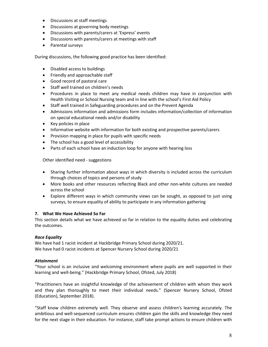- Discussions at staff meetings
- Discussions at governing body meetings
- Discussions with parents/carers at 'Express' events
- Discussions with parents/carers at meetings with staff
- Parental surveys

During discussions, the following good practice has been identified:

- Disabled access to buildings
- Friendly and approachable staff
- Good record of pastoral care
- Staff well trained on children's needs
- Procedures in place to meet any medical needs children may have in conjunction with Health Visiting or School Nursing team and in line with the school's First Aid Policy
- Staff well trained in Safeguarding procedures and on the Prevent Agenda
- Admissions information and admissions form includes information/collection of information on special educational needs and/or disability
- Key policies in place
- Informative website with information for both existing and prospective parents/carers
- Provision mapping in place for pupils with specific needs
- The school has a good level of accessibility
- Parts of each school have an induction loop for anyone with hearing loss

Other identified need - suggestions

- Sharing further information about ways in which diversity is included across the curriculum through choices of topics and persons of study
- More books and other resources reflecting Black and other non-white cultures are needed across the school
- Explore different ways in which community views can be sought, as opposed to just using surveys, to ensure equality of ability to participate in any information gathering

## **7. What We Have Achieved So Far**

This section details what we have achieved so far in relation to the equality duties and celebrating the outcomes.

## *Race Equality*

We have had 1 racist incident at Hackbridge Primary School during 2020/21. We have had 0 racist incidents at Spencer Nursery School during 2020/21

## *Attainment*

"Your school is an inclusive and welcoming environment where pupils are well supported in their learning and well-being." (Hackbridge Primary School, Ofsted, July 2018)

"Practitioners have an insightful knowledge of the achievement of children with whom they work and they plan thoroughly to meet their individual needs." (Spencer Nursery School, Ofsted (Education), September 2018).

"Staff know children extremely well. They observe and assess children's learning accurately. The ambitious and well-sequenced curriculum ensures children gain the skills and knowledge they need for the next stage in their education. For instance, staff take prompt actions to ensure children with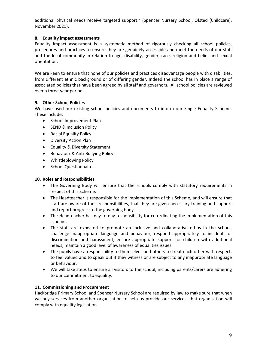additional physical needs receive targeted support." (Spencer Nursery School, Ofsted (Childcare), November 2021).

# **8. Equality impact assessments**

Equality impact assessment is a systematic method of rigorously checking all school policies, procedures and practices to ensure they are genuinely accessible and meet the needs of our staff and the local community in relation to age, disability, gender, race, religion and belief and sexual orientation.

We are keen to ensure that none of our policies and practices disadvantage people with disabilities, from different ethnic background or of differing gender. Indeed the school has in place a range of associated policies that have been agreed by all staff and governors. All school policies are reviewed over a three-year period.

# **9. Other School Policies**

We have used our existing school policies and documents to inform our Single Equality Scheme. These include:

- School Improvement Plan
- SEND & Inclusion Policy
- Racial Equality Policy
- Diversity Action Plan
- Equality & Diversity Statement
- Behaviour & Anti-Bullying Policy
- Whistleblowing Policy
- School Questionnaires

# **10. Roles and Responsibilities**

- The Governing Body will ensure that the schools comply with statutory requirements in respect of this Scheme.
- The Headteacher is responsible for the implementation of this Scheme, and will ensure that staff are aware of their responsibilities, that they are given necessary training and support and report progress to the governing body.
- The Headteacher has day-to-day responsibility for co-ordinating the implementation of this scheme.
- The staff are expected to promote an inclusive and collaborative ethos in the school, challenge inappropriate language and behaviour, respond appropriately to incidents of discrimination and harassment, ensure appropriate support for children with additional needs, maintain a good level of awareness of equalities issues.
- The pupils have a responsibility to themselves and others to treat each other with respect, to feel valued and to speak out if they witness or are subject to any inappropriate language or behaviour.
- We will take steps to ensure all visitors to the school, including parents/carers are adhering to our commitment to equality.

# **11. Commissioning and Procurement**

Hackbridge Primary School and Spencer Nursery School are required by law to make sure that when we buy services from another organisation to help us provide our services, that organisation will comply with equality legislation.